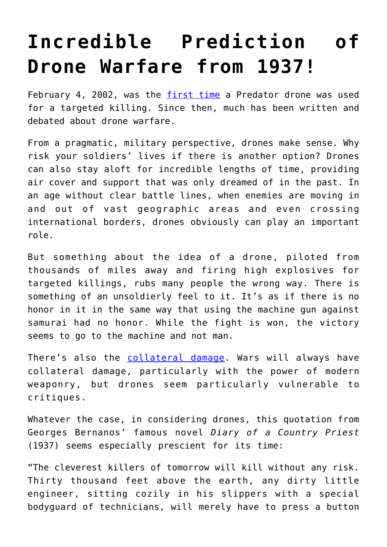## **[Incredible Prediction of](https://intellectualtakeout.org/2015/08/incredible-prediction-of-drone-warfare-from-1937/) [Drone Warfare from 1937!](https://intellectualtakeout.org/2015/08/incredible-prediction-of-drone-warfare-from-1937/)**

February 4, 2002, was the [first time](http://www.thenation.com/article/brief-history-drones/) a Predator drone was used for a targeted killing. Since then, much has been written and debated about drone warfare.

From a pragmatic, military perspective, drones make sense. Why risk your soldiers' lives if there is another option? Drones can also stay aloft for incredible lengths of time, providing air cover and support that was only dreamed of in the past. In an age without clear battle lines, when enemies are moving in and out of vast geographic areas and even crossing international borders, drones obviously can play an important role.

But something about the idea of a drone, piloted from thousands of miles away and firing high explosives for targeted killings, rubs many people the wrong way. There is something of an unsoldierly feel to it. It's as if there is no honor in it in the same way that using the machine gun against samurai had no honor. While the fight is won, the victory seems to go to the machine and not man.

There's also the [collateral damage.](http://www.theguardian.com/us-news/2014/nov/24/-sp-us-drone-strikes-kill-1147) Wars will always have collateral damage, particularly with the power of modern weaponry, but drones seem particularly vulnerable to critiques.

Whatever the case, in considering drones, this quotation from Georges Bernanos' famous novel *Diary of a Country Priest* (1937) seems especially prescient for its time:

"The cleverest killers of tomorrow will kill without any risk. Thirty thousand feet above the earth, any dirty little engineer, sitting cozily in his slippers with a special bodyguard of technicians, will merely have to press a button